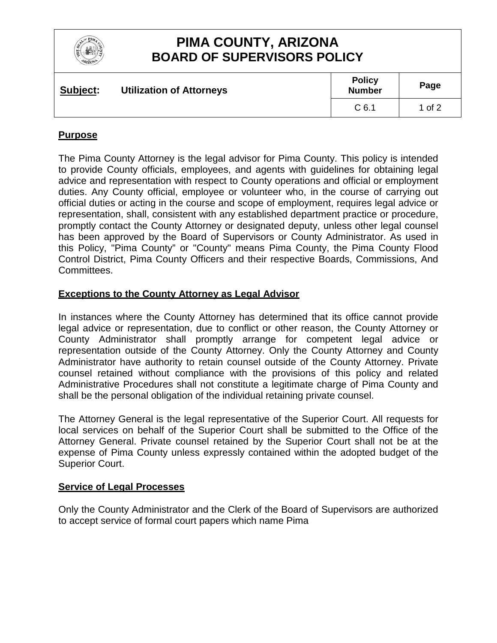

## **PIMA COUNTY, ARIZONA BOARD OF SUPERVISORS POLICY**

| Subject: | <b>Utilization of Attorneys</b> | <b>Policy</b><br><b>Number</b> | Page   |
|----------|---------------------------------|--------------------------------|--------|
|          |                                 | C <sub>6.1</sub>               | 1 of 2 |

### **Purpose**

The Pima County Attorney is the legal advisor for Pima County. This policy is intended to provide County officials, employees, and agents with guidelines for obtaining legal advice and representation with respect to County operations and official or employment duties. Any County official, employee or volunteer who, in the course of carrying out official duties or acting in the course and scope of employment, requires legal advice or representation, shall, consistent with any established department practice or procedure, promptly contact the County Attorney or designated deputy, unless other legal counsel has been approved by the Board of Supervisors or County Administrator. As used in this Policy, "Pima County" or "County" means Pima County, the Pima County Flood Control District, Pima County Officers and their respective Boards, Commissions, And Committees.

#### **Exceptions to the County Attorney as Legal Advisor**

In instances where the County Attorney has determined that its office cannot provide legal advice or representation, due to conflict or other reason, the County Attorney or County Administrator shall promptly arrange for competent legal advice or representation outside of the County Attorney. Only the County Attorney and County Administrator have authority to retain counsel outside of the County Attorney. Private counsel retained without compliance with the provisions of this policy and related Administrative Procedures shall not constitute a legitimate charge of Pima County and shall be the personal obligation of the individual retaining private counsel.

The Attorney General is the legal representative of the Superior Court. All requests for local services on behalf of the Superior Court shall be submitted to the Office of the Attorney General. Private counsel retained by the Superior Court shall not be at the expense of Pima County unless expressly contained within the adopted budget of the Superior Court.

#### **Service of Legal Processes**

Only the County Administrator and the Clerk of the Board of Supervisors are authorized to accept service of formal court papers which name Pima